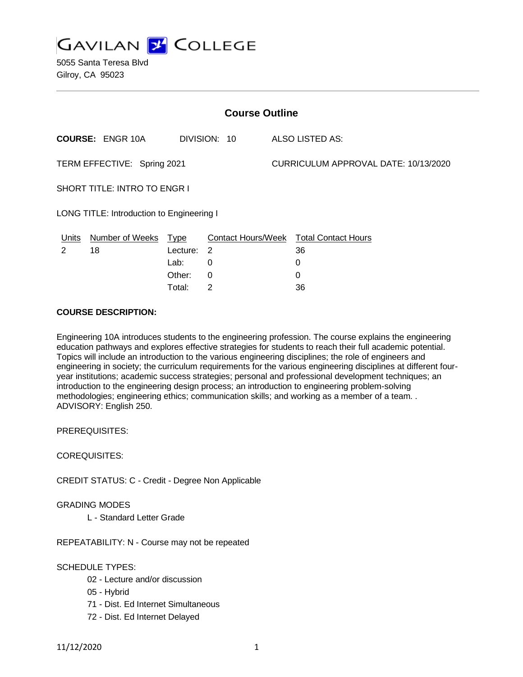

5055 Santa Teresa Blvd Gilroy, CA 95023

| <b>Course Outline</b>                     |                         |          |                |  |                                        |
|-------------------------------------------|-------------------------|----------|----------------|--|----------------------------------------|
|                                           | <b>COURSE: ENGR 10A</b> |          | DIVISION: 10   |  | ALSO LISTED AS:                        |
| TERM EFFECTIVE: Spring 2021               |                         |          |                |  | CURRICULUM APPROVAL DATE: 10/13/2020   |
| SHORT TITLE: INTRO TO ENGR I              |                         |          |                |  |                                        |
| LONG TITLE: Introduction to Engineering I |                         |          |                |  |                                        |
| <b>Units</b>                              | Number of Weeks Type    |          |                |  | Contact Hours/Week Total Contact Hours |
| 2                                         | 18                      | Lecture: | $\overline{2}$ |  | 36                                     |
|                                           |                         | Lab:     | 0              |  | 0                                      |
|                                           |                         | Other:   | 0              |  | 0                                      |

Total: 2 36

#### **COURSE DESCRIPTION:**

Engineering 10A introduces students to the engineering profession. The course explains the engineering education pathways and explores effective strategies for students to reach their full academic potential. Topics will include an introduction to the various engineering disciplines; the role of engineers and engineering in society; the curriculum requirements for the various engineering disciplines at different fouryear institutions; academic success strategies; personal and professional development techniques; an introduction to the engineering design process; an introduction to engineering problem-solving methodologies; engineering ethics; communication skills; and working as a member of a team. . ADVISORY: English 250.

PREREQUISITES:

COREQUISITES:

CREDIT STATUS: C - Credit - Degree Non Applicable

#### GRADING MODES

L - Standard Letter Grade

REPEATABILITY: N - Course may not be repeated

SCHEDULE TYPES:

- 02 Lecture and/or discussion
- 05 Hybrid
- 71 Dist. Ed Internet Simultaneous
- 72 Dist. Ed Internet Delayed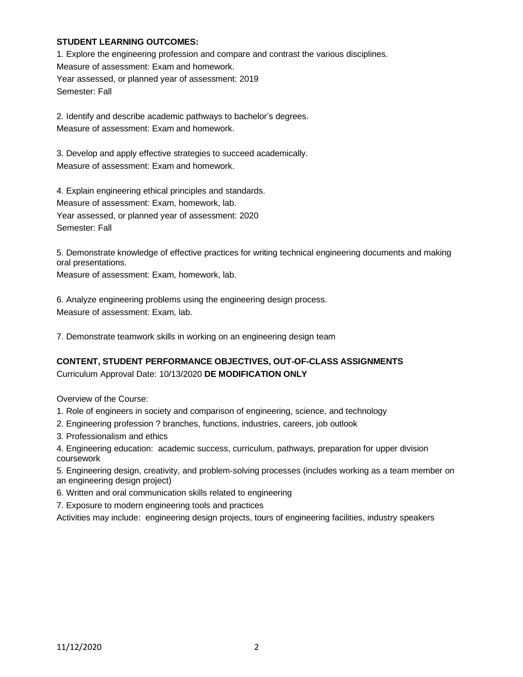#### **STUDENT LEARNING OUTCOMES:**

1. Explore the engineering profession and compare and contrast the various disciplines. Measure of assessment: Exam and homework. Year assessed, or planned year of assessment: 2019 Semester: Fall

2. Identify and describe academic pathways to bachelor's degrees. Measure of assessment: Exam and homework.

3. Develop and apply effective strategies to succeed academically. Measure of assessment: Exam and homework.

4. Explain engineering ethical principles and standards. Measure of assessment: Exam, homework, lab. Year assessed, or planned year of assessment: 2020 Semester: Fall

5. Demonstrate knowledge of effective practices for writing technical engineering documents and making oral presentations.

Measure of assessment: Exam, homework, lab.

6. Analyze engineering problems using the engineering design process. Measure of assessment: Exam, lab.

7. Demonstrate teamwork skills in working on an engineering design team

# **CONTENT, STUDENT PERFORMANCE OBJECTIVES, OUT-OF-CLASS ASSIGNMENTS**

Curriculum Approval Date: 10/13/2020 **DE MODIFICATION ONLY**

Overview of the Course:

- 1. Role of engineers in society and comparison of engineering, science, and technology
- 2. Engineering profession ? branches, functions, industries, careers, job outlook
- 3. Professionalism and ethics
- 4. Engineering education: academic success, curriculum, pathways, preparation for upper division coursework

5. Engineering design, creativity, and problem-solving processes (includes working as a team member on an engineering design project)

- 6. Written and oral communication skills related to engineering
- 7. Exposure to modern engineering tools and practices

Activities may include: engineering design projects, tours of engineering facilities, industry speakers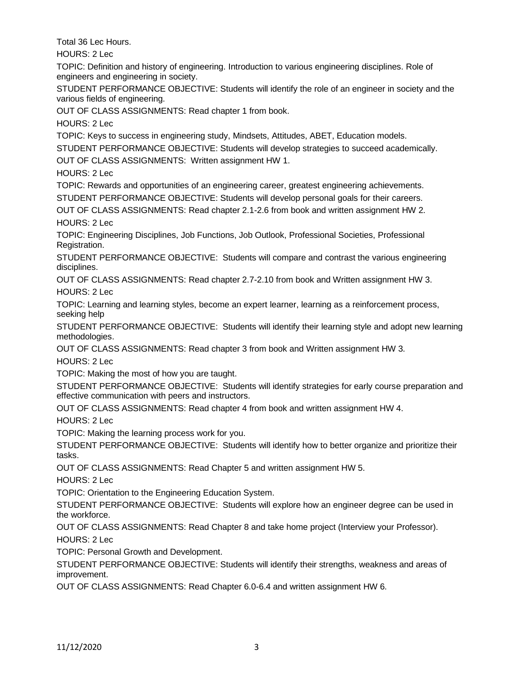Total 36 Lec Hours.

HOURS: 2 Lec

TOPIC: Definition and history of engineering. Introduction to various engineering disciplines. Role of engineers and engineering in society.

STUDENT PERFORMANCE OBJECTIVE: Students will identify the role of an engineer in society and the various fields of engineering.

OUT OF CLASS ASSIGNMENTS: Read chapter 1 from book.

HOURS: 2 Lec

TOPIC: Keys to success in engineering study, Mindsets, Attitudes, ABET, Education models.

STUDENT PERFORMANCE OBJECTIVE: Students will develop strategies to succeed academically.

OUT OF CLASS ASSIGNMENTS: Written assignment HW 1.

HOURS: 2 Lec

TOPIC: Rewards and opportunities of an engineering career, greatest engineering achievements. STUDENT PERFORMANCE OBJECTIVE: Students will develop personal goals for their careers.

OUT OF CLASS ASSIGNMENTS: Read chapter 2.1-2.6 from book and written assignment HW 2. HOURS: 2 Lec

TOPIC: Engineering Disciplines, Job Functions, Job Outlook, Professional Societies, Professional Registration.

STUDENT PERFORMANCE OBJECTIVE: Students will compare and contrast the various engineering disciplines.

OUT OF CLASS ASSIGNMENTS: Read chapter 2.7-2.10 from book and Written assignment HW 3. HOURS: 2 Lec

TOPIC: Learning and learning styles, become an expert learner, learning as a reinforcement process, seeking help

STUDENT PERFORMANCE OBJECTIVE: Students will identify their learning style and adopt new learning methodologies.

OUT OF CLASS ASSIGNMENTS: Read chapter 3 from book and Written assignment HW 3.

HOURS: 2 Lec

TOPIC: Making the most of how you are taught.

STUDENT PERFORMANCE OBJECTIVE: Students will identify strategies for early course preparation and effective communication with peers and instructors.

OUT OF CLASS ASSIGNMENTS: Read chapter 4 from book and written assignment HW 4.

HOURS: 2 Lec

TOPIC: Making the learning process work for you.

STUDENT PERFORMANCE OBJECTIVE: Students will identify how to better organize and prioritize their tasks.

OUT OF CLASS ASSIGNMENTS: Read Chapter 5 and written assignment HW 5.

HOURS: 2 Lec

TOPIC: Orientation to the Engineering Education System.

STUDENT PERFORMANCE OBJECTIVE: Students will explore how an engineer degree can be used in the workforce.

OUT OF CLASS ASSIGNMENTS: Read Chapter 8 and take home project (Interview your Professor).

HOURS: 2 Lec

TOPIC: Personal Growth and Development.

STUDENT PERFORMANCE OBJECTIVE: Students will identify their strengths, weakness and areas of improvement.

OUT OF CLASS ASSIGNMENTS: Read Chapter 6.0-6.4 and written assignment HW 6.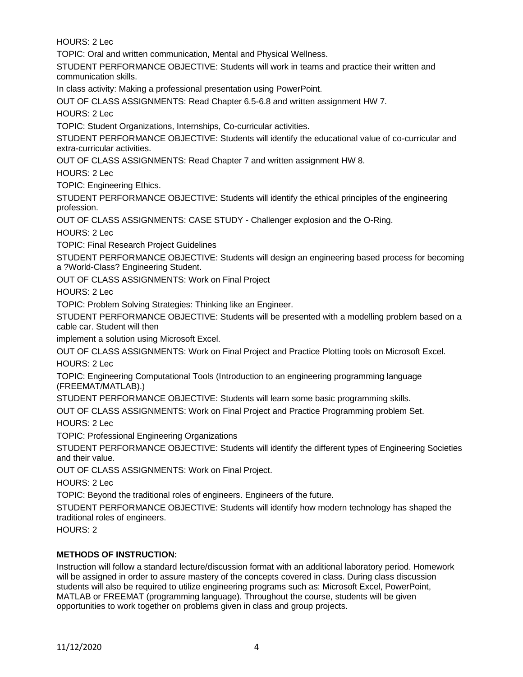HOURS: 2 Lec

TOPIC: Oral and written communication, Mental and Physical Wellness.

STUDENT PERFORMANCE OBJECTIVE: Students will work in teams and practice their written and communication skills.

In class activity: Making a professional presentation using PowerPoint.

OUT OF CLASS ASSIGNMENTS: Read Chapter 6.5-6.8 and written assignment HW 7.

HOURS: 2 Lec

TOPIC: Student Organizations, Internships, Co-curricular activities.

STUDENT PERFORMANCE OBJECTIVE: Students will identify the educational value of co-curricular and extra-curricular activities.

OUT OF CLASS ASSIGNMENTS: Read Chapter 7 and written assignment HW 8.

HOURS: 2 Lec

TOPIC: Engineering Ethics.

STUDENT PERFORMANCE OBJECTIVE: Students will identify the ethical principles of the engineering profession.

OUT OF CLASS ASSIGNMENTS: CASE STUDY - Challenger explosion and the O-Ring.

HOURS: 2 Lec

TOPIC: Final Research Project Guidelines

STUDENT PERFORMANCE OBJECTIVE: Students will design an engineering based process for becoming a ?World-Class? Engineering Student.

OUT OF CLASS ASSIGNMENTS: Work on Final Project

HOURS: 2 Lec

TOPIC: Problem Solving Strategies: Thinking like an Engineer.

STUDENT PERFORMANCE OBJECTIVE: Students will be presented with a modelling problem based on a cable car. Student will then

implement a solution using Microsoft Excel.

OUT OF CLASS ASSIGNMENTS: Work on Final Project and Practice Plotting tools on Microsoft Excel. HOURS: 2 Lec

TOPIC: Engineering Computational Tools (Introduction to an engineering programming language (FREEMAT/MATLAB).)

STUDENT PERFORMANCE OBJECTIVE: Students will learn some basic programming skills.

OUT OF CLASS ASSIGNMENTS: Work on Final Project and Practice Programming problem Set. HOURS: 2 Lec

TOPIC: Professional Engineering Organizations

STUDENT PERFORMANCE OBJECTIVE: Students will identify the different types of Engineering Societies and their value.

OUT OF CLASS ASSIGNMENTS: Work on Final Project.

HOURS: 2 Lec

TOPIC: Beyond the traditional roles of engineers. Engineers of the future.

STUDENT PERFORMANCE OBJECTIVE: Students will identify how modern technology has shaped the traditional roles of engineers.

HOURS: 2

## **METHODS OF INSTRUCTION:**

Instruction will follow a standard lecture/discussion format with an additional laboratory period. Homework will be assigned in order to assure mastery of the concepts covered in class. During class discussion students will also be required to utilize engineering programs such as: Microsoft Excel, PowerPoint, MATLAB or FREEMAT (programming language). Throughout the course, students will be given opportunities to work together on problems given in class and group projects.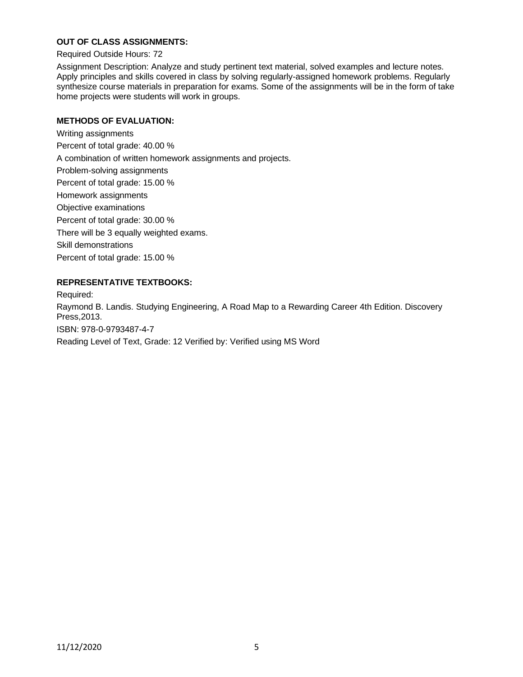#### **OUT OF CLASS ASSIGNMENTS:**

Required Outside Hours: 72

Assignment Description: Analyze and study pertinent text material, solved examples and lecture notes. Apply principles and skills covered in class by solving regularly-assigned homework problems. Regularly synthesize course materials in preparation for exams. Some of the assignments will be in the form of take home projects were students will work in groups.

#### **METHODS OF EVALUATION:**

Writing assignments Percent of total grade: 40.00 % A combination of written homework assignments and projects. Problem-solving assignments Percent of total grade: 15.00 % Homework assignments Objective examinations Percent of total grade: 30.00 % There will be 3 equally weighted exams. Skill demonstrations Percent of total grade: 15.00 %

## **REPRESENTATIVE TEXTBOOKS:**

Required: Raymond B. Landis. Studying Engineering, A Road Map to a Rewarding Career 4th Edition. Discovery Press,2013. ISBN: 978-0-9793487-4-7 Reading Level of Text, Grade: 12 Verified by: Verified using MS Word